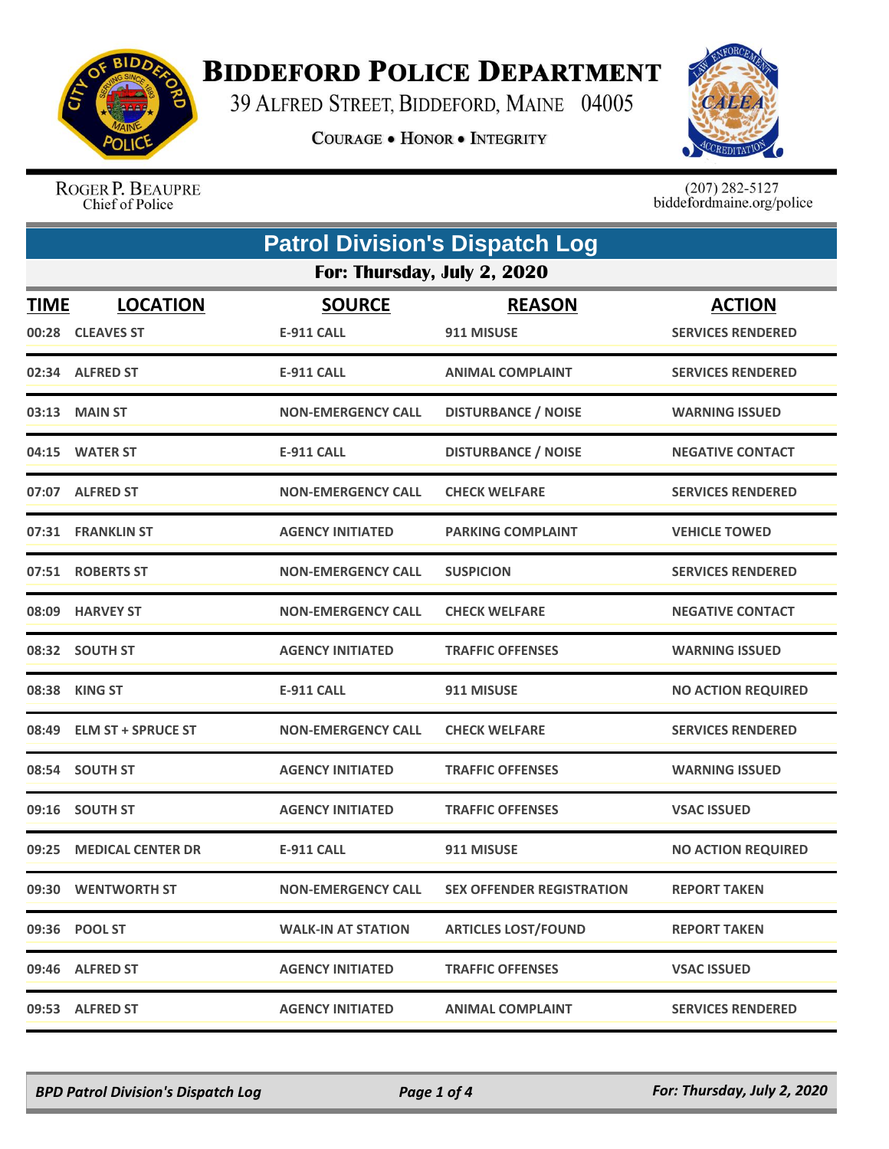

## **BIDDEFORD POLICE DEPARTMENT**

39 ALFRED STREET, BIDDEFORD, MAINE 04005

**COURAGE . HONOR . INTEGRITY** 



ROGER P. BEAUPRE Chief of Police

 $(207)$  282-5127<br>biddefordmaine.org/police

| <b>Patrol Division's Dispatch Log</b> |                                     |                                    |                                  |                                           |  |  |
|---------------------------------------|-------------------------------------|------------------------------------|----------------------------------|-------------------------------------------|--|--|
|                                       | For: Thursday, July 2, 2020         |                                    |                                  |                                           |  |  |
| <b>TIME</b>                           | <b>LOCATION</b><br>00:28 CLEAVES ST | <b>SOURCE</b><br><b>E-911 CALL</b> | <b>REASON</b><br>911 MISUSE      | <b>ACTION</b><br><b>SERVICES RENDERED</b> |  |  |
|                                       | 02:34 ALFRED ST                     | E-911 CALL                         | <b>ANIMAL COMPLAINT</b>          | <b>SERVICES RENDERED</b>                  |  |  |
|                                       | 03:13 MAIN ST                       | <b>NON-EMERGENCY CALL</b>          | <b>DISTURBANCE / NOISE</b>       | <b>WARNING ISSUED</b>                     |  |  |
|                                       | 04:15 WATER ST                      | <b>E-911 CALL</b>                  | <b>DISTURBANCE / NOISE</b>       | <b>NEGATIVE CONTACT</b>                   |  |  |
|                                       | 07:07 ALFRED ST                     | <b>NON-EMERGENCY CALL</b>          | <b>CHECK WELFARE</b>             | <b>SERVICES RENDERED</b>                  |  |  |
|                                       | 07:31 FRANKLIN ST                   | <b>AGENCY INITIATED</b>            | <b>PARKING COMPLAINT</b>         | <b>VEHICLE TOWED</b>                      |  |  |
|                                       | 07:51 ROBERTS ST                    | <b>NON-EMERGENCY CALL</b>          | <b>SUSPICION</b>                 | <b>SERVICES RENDERED</b>                  |  |  |
|                                       | 08:09 HARVEY ST                     | <b>NON-EMERGENCY CALL</b>          | <b>CHECK WELFARE</b>             | <b>NEGATIVE CONTACT</b>                   |  |  |
|                                       | 08:32 SOUTH ST                      | <b>AGENCY INITIATED</b>            | <b>TRAFFIC OFFENSES</b>          | <b>WARNING ISSUED</b>                     |  |  |
| 08:38                                 | <b>KING ST</b>                      | <b>E-911 CALL</b>                  | 911 MISUSE                       | <b>NO ACTION REQUIRED</b>                 |  |  |
|                                       | 08:49 ELM ST + SPRUCE ST            | <b>NON-EMERGENCY CALL</b>          | <b>CHECK WELFARE</b>             | <b>SERVICES RENDERED</b>                  |  |  |
|                                       | 08:54 SOUTH ST                      | <b>AGENCY INITIATED</b>            | <b>TRAFFIC OFFENSES</b>          | <b>WARNING ISSUED</b>                     |  |  |
|                                       | 09:16 SOUTH ST                      | <b>AGENCY INITIATED</b>            | <b>TRAFFIC OFFENSES</b>          | <b>VSAC ISSUED</b>                        |  |  |
| 09:25                                 | <b>MEDICAL CENTER DR</b>            | <b>E-911 CALL</b>                  | 911 MISUSE                       | <b>NO ACTION REQUIRED</b>                 |  |  |
|                                       | 09:30 WENTWORTH ST                  | <b>NON-EMERGENCY CALL</b>          | <b>SEX OFFENDER REGISTRATION</b> | <b>REPORT TAKEN</b>                       |  |  |
|                                       | 09:36 POOL ST                       | <b>WALK-IN AT STATION</b>          | <b>ARTICLES LOST/FOUND</b>       | <b>REPORT TAKEN</b>                       |  |  |
|                                       | 09:46 ALFRED ST                     | <b>AGENCY INITIATED</b>            | <b>TRAFFIC OFFENSES</b>          | <b>VSAC ISSUED</b>                        |  |  |
|                                       | 09:53 ALFRED ST                     | <b>AGENCY INITIATED</b>            | <b>ANIMAL COMPLAINT</b>          | <b>SERVICES RENDERED</b>                  |  |  |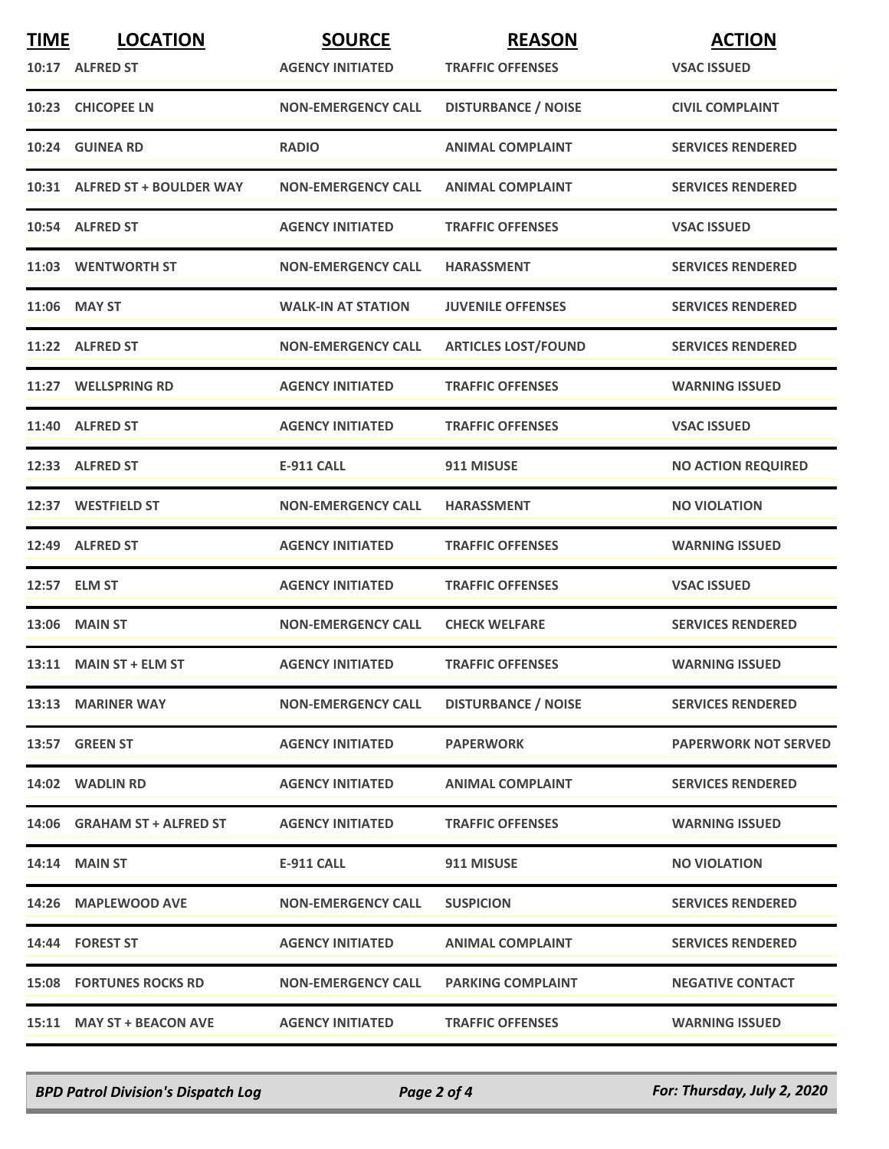| <b>TIME</b> | <b>LOCATION</b>                | <b>SOURCE</b>             | <b>REASON</b>              | <b>ACTION</b>               |
|-------------|--------------------------------|---------------------------|----------------------------|-----------------------------|
|             | 10:17 ALFRED ST                | <b>AGENCY INITIATED</b>   | <b>TRAFFIC OFFENSES</b>    | <b>VSAC ISSUED</b>          |
|             | 10:23 CHICOPEE LN              | <b>NON-EMERGENCY CALL</b> | <b>DISTURBANCE / NOISE</b> | <b>CIVIL COMPLAINT</b>      |
|             | 10:24 GUINEA RD                | <b>RADIO</b>              | <b>ANIMAL COMPLAINT</b>    | <b>SERVICES RENDERED</b>    |
|             | 10:31 ALFRED ST + BOULDER WAY  | <b>NON-EMERGENCY CALL</b> | <b>ANIMAL COMPLAINT</b>    | <b>SERVICES RENDERED</b>    |
|             | 10:54 ALFRED ST                | <b>AGENCY INITIATED</b>   | <b>TRAFFIC OFFENSES</b>    | <b>VSAC ISSUED</b>          |
|             | 11:03 WENTWORTH ST             | <b>NON-EMERGENCY CALL</b> | <b>HARASSMENT</b>          | <b>SERVICES RENDERED</b>    |
|             | 11:06 MAY ST                   | <b>WALK-IN AT STATION</b> | <b>JUVENILE OFFENSES</b>   | <b>SERVICES RENDERED</b>    |
|             | 11:22 ALFRED ST                | <b>NON-EMERGENCY CALL</b> | <b>ARTICLES LOST/FOUND</b> | <b>SERVICES RENDERED</b>    |
|             | 11:27 WELLSPRING RD            | <b>AGENCY INITIATED</b>   | <b>TRAFFIC OFFENSES</b>    | <b>WARNING ISSUED</b>       |
|             | 11:40 ALFRED ST                | <b>AGENCY INITIATED</b>   | <b>TRAFFIC OFFENSES</b>    | <b>VSAC ISSUED</b>          |
|             | 12:33 ALFRED ST                | <b>E-911 CALL</b>         | 911 MISUSE                 | <b>NO ACTION REQUIRED</b>   |
|             | 12:37 WESTFIELD ST             | <b>NON-EMERGENCY CALL</b> | <b>HARASSMENT</b>          | <b>NO VIOLATION</b>         |
|             | 12:49 ALFRED ST                | <b>AGENCY INITIATED</b>   | <b>TRAFFIC OFFENSES</b>    | <b>WARNING ISSUED</b>       |
|             | 12:57 ELM ST                   | <b>AGENCY INITIATED</b>   | <b>TRAFFIC OFFENSES</b>    | <b>VSAC ISSUED</b>          |
|             | 13:06 MAIN ST                  | <b>NON-EMERGENCY CALL</b> | <b>CHECK WELFARE</b>       | <b>SERVICES RENDERED</b>    |
|             | 13:11 MAIN ST + ELM ST         | <b>AGENCY INITIATED</b>   | <b>TRAFFIC OFFENSES</b>    | <b>WARNING ISSUED</b>       |
|             | 13:13 MARINER WAY              | <b>NON-EMERGENCY CALL</b> | <b>DISTURBANCE / NOISE</b> | <b>SERVICES RENDERED</b>    |
|             | 13:57 GREEN ST                 | <b>AGENCY INITIATED</b>   | <b>PAPERWORK</b>           | <b>PAPERWORK NOT SERVED</b> |
|             | 14:02 WADLIN RD                | <b>AGENCY INITIATED</b>   | <b>ANIMAL COMPLAINT</b>    | <b>SERVICES RENDERED</b>    |
|             | 14:06 GRAHAM ST + ALFRED ST    | <b>AGENCY INITIATED</b>   | <b>TRAFFIC OFFENSES</b>    | <b>WARNING ISSUED</b>       |
|             | <b>14:14 MAIN ST</b>           | <b>E-911 CALL</b>         | 911 MISUSE                 | <b>NO VIOLATION</b>         |
|             | 14:26 MAPLEWOOD AVE            | <b>NON-EMERGENCY CALL</b> | <b>SUSPICION</b>           | <b>SERVICES RENDERED</b>    |
|             | 14:44 FOREST ST                | <b>AGENCY INITIATED</b>   | <b>ANIMAL COMPLAINT</b>    | <b>SERVICES RENDERED</b>    |
|             | <b>15:08 FORTUNES ROCKS RD</b> | <b>NON-EMERGENCY CALL</b> | <b>PARKING COMPLAINT</b>   | <b>NEGATIVE CONTACT</b>     |
|             | 15:11 MAY ST + BEACON AVE      | <b>AGENCY INITIATED</b>   | <b>TRAFFIC OFFENSES</b>    | <b>WARNING ISSUED</b>       |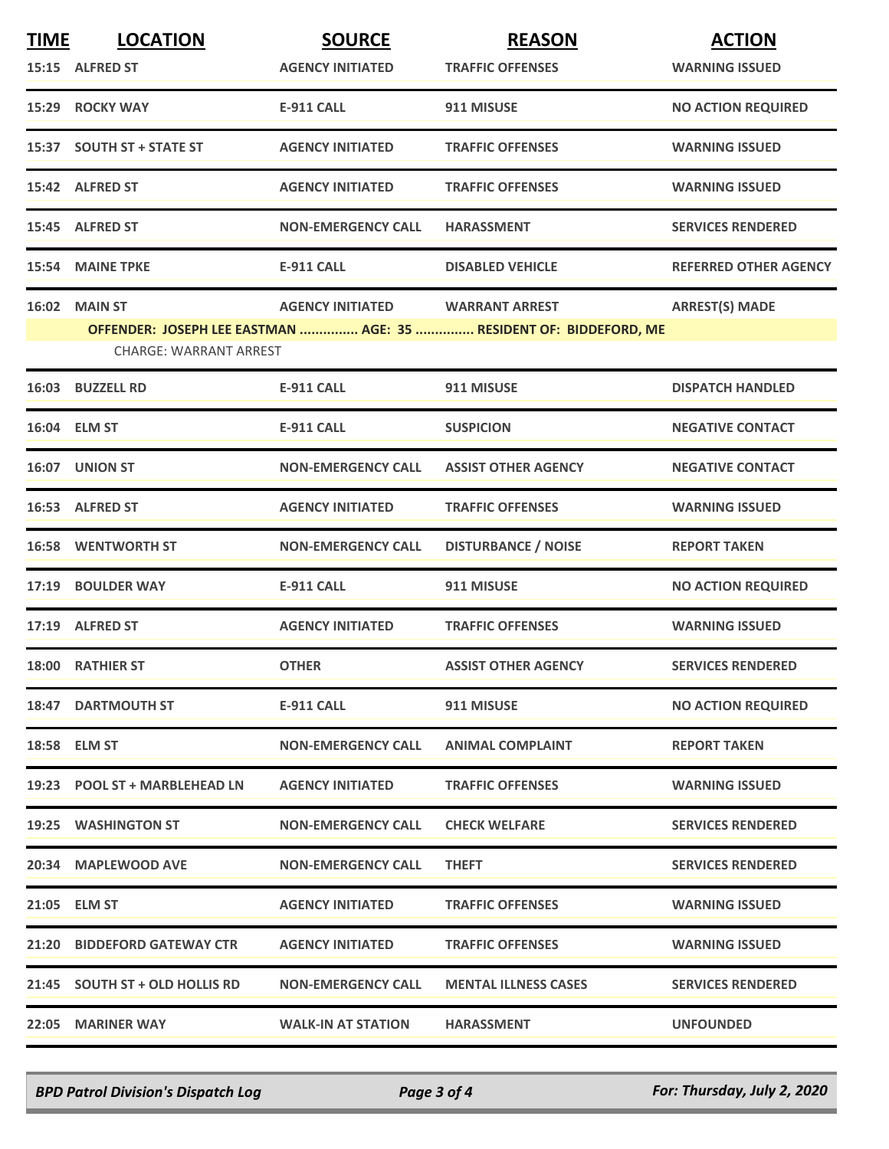| <b>TIME</b> | <b>LOCATION</b>                | <b>SOURCE</b>                   | <b>REASON</b>                                                     | <b>ACTION</b>                |
|-------------|--------------------------------|---------------------------------|-------------------------------------------------------------------|------------------------------|
|             | 15:15 ALFRED ST                | <b>AGENCY INITIATED</b>         | <b>TRAFFIC OFFENSES</b>                                           | <b>WARNING ISSUED</b>        |
|             | 15:29 ROCKY WAY                | <b>E-911 CALL</b>               | 911 MISUSE                                                        | <b>NO ACTION REQUIRED</b>    |
|             | 15:37 SOUTH ST + STATE ST      | <b>AGENCY INITIATED</b>         | <b>TRAFFIC OFFENSES</b>                                           | <b>WARNING ISSUED</b>        |
|             | 15:42 ALFRED ST                | <b>AGENCY INITIATED</b>         | <b>TRAFFIC OFFENSES</b>                                           | <b>WARNING ISSUED</b>        |
|             | 15:45 ALFRED ST                | <b>NON-EMERGENCY CALL</b>       | <b>HARASSMENT</b>                                                 | <b>SERVICES RENDERED</b>     |
|             | 15:54 MAINE TPKE               | <b>E-911 CALL</b>               | <b>DISABLED VEHICLE</b>                                           | <b>REFERRED OTHER AGENCY</b> |
|             | <b>16:02 MAIN ST</b>           | AGENCY INITIATED WARRANT ARREST |                                                                   | <b>ARREST(S) MADE</b>        |
|             | <b>CHARGE: WARRANT ARREST</b>  |                                 | OFFENDER: JOSEPH LEE EASTMAN  AGE: 35  RESIDENT OF: BIDDEFORD, ME |                              |
|             | 16:03 BUZZELL RD               | <b>E-911 CALL</b>               | 911 MISUSE                                                        | <b>DISPATCH HANDLED</b>      |
|             | 16:04 ELM ST                   | <b>E-911 CALL</b>               | <b>SUSPICION</b>                                                  | <b>NEGATIVE CONTACT</b>      |
|             | 16:07 UNION ST                 | <b>NON-EMERGENCY CALL</b>       | <b>ASSIST OTHER AGENCY</b>                                        | <b>NEGATIVE CONTACT</b>      |
|             | 16:53 ALFRED ST                | <b>AGENCY INITIATED</b>         | <b>TRAFFIC OFFENSES</b>                                           | <b>WARNING ISSUED</b>        |
|             | <b>16:58 WENTWORTH ST</b>      | <b>NON-EMERGENCY CALL</b>       | <b>DISTURBANCE / NOISE</b>                                        | <b>REPORT TAKEN</b>          |
|             | 17:19 BOULDER WAY              | <b>E-911 CALL</b>               | 911 MISUSE                                                        | <b>NO ACTION REQUIRED</b>    |
|             | 17:19 ALFRED ST                | <b>AGENCY INITIATED</b>         | <b>TRAFFIC OFFENSES</b>                                           | <b>WARNING ISSUED</b>        |
|             | <b>18:00 RATHIER ST</b>        | <b>OTHER</b>                    | <b>ASSIST OTHER AGENCY</b>                                        | <b>SERVICES RENDERED</b>     |
|             | <b>18:47 DARTMOUTH ST</b>      | <b>E-911 CALL</b>               | 911 MISUSE                                                        | <b>NO ACTION REQUIRED</b>    |
|             | 18:58 ELM ST                   | <b>NON-EMERGENCY CALL</b>       | <b>ANIMAL COMPLAINT</b>                                           | <b>REPORT TAKEN</b>          |
|             | 19:23 POOL ST + MARBLEHEAD LN  | <b>AGENCY INITIATED</b>         | <b>TRAFFIC OFFENSES</b>                                           | <b>WARNING ISSUED</b>        |
|             | 19:25 WASHINGTON ST            | <b>NON-EMERGENCY CALL</b>       | <b>CHECK WELFARE</b>                                              | <b>SERVICES RENDERED</b>     |
|             | 20:34 MAPLEWOOD AVE            | <b>NON-EMERGENCY CALL</b>       | <b>THEFT</b>                                                      | <b>SERVICES RENDERED</b>     |
|             | 21:05 ELM ST                   | <b>AGENCY INITIATED</b>         | <b>TRAFFIC OFFENSES</b>                                           | <b>WARNING ISSUED</b>        |
|             | 21:20 BIDDEFORD GATEWAY CTR    | <b>AGENCY INITIATED</b>         | <b>TRAFFIC OFFENSES</b>                                           | <b>WARNING ISSUED</b>        |
|             | 21:45 SOUTH ST + OLD HOLLIS RD | <b>NON-EMERGENCY CALL</b>       | <b>MENTAL ILLNESS CASES</b>                                       | <b>SERVICES RENDERED</b>     |
|             | 22:05 MARINER WAY              | <b>WALK-IN AT STATION</b>       | <b>HARASSMENT</b>                                                 | <b>UNFOUNDED</b>             |

*BPD Patrol Division's Dispatch Log Page 3 of 4 For: Thursday, July 2, 2020*